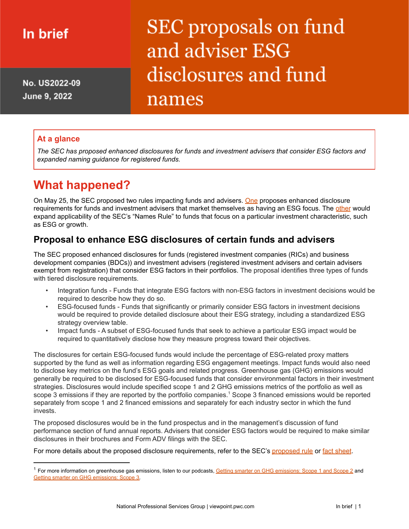# In brief

No. US2022-09 June 9, 2022

# SEC proposals on fund and adviser ESG disclosures and fund names

#### **At a glance**

*The SEC has proposed enhanced disclosures for funds and investment advisers that consider ESG factors and expanded naming guidance for registered funds.*

## **What happened?**

On May 25, the SEC proposed two rules impacting funds and advisers. [One](https://www.sec.gov/rules/proposed/2022/33-11068.pdf) proposes enhanced disclosure requirements for funds and investment advisers that market themselves as having an ESG focus. The [other](https://www.sec.gov/rules/proposed/2022/33-11067.pdf) would expand applicability of the SEC's "Names Rule" to funds that focus on a particular investment characteristic, such as ESG or growth.

### **Proposal to enhance ESG disclosures of certain funds and advisers**

The SEC proposed enhanced disclosures for funds (registered investment companies (RICs) and business development companies (BDCs)) and investment advisers (registered investment advisers and certain advisers exempt from registration) that consider ESG factors in their portfolios. The proposal identifies three types of funds with tiered disclosure requirements.

- Integration funds Funds that integrate ESG factors with non-ESG factors in investment decisions would be required to describe how they do so.
- ESG-focused funds Funds that significantly or primarily consider ESG factors in investment decisions would be required to provide detailed disclosure about their ESG strategy, including a standardized ESG strategy overview table.
- Impact funds A subset of ESG-focused funds that seek to achieve a particular ESG impact would be required to quantitatively disclose how they measure progress toward their objectives.

The disclosures for certain ESG-focused funds would include the percentage of ESG-related proxy matters supported by the fund as well as information regarding ESG engagement meetings. Impact funds would also need to disclose key metrics on the fund's ESG goals and related progress. Greenhouse gas (GHG) emissions would generally be required to be disclosed for ESG-focused funds that consider environmental factors in their investment strategies. Disclosures would include specified scope 1 and 2 GHG emissions metrics of the portfolio as well as scope 3 emissions if they are reported by the portfolio companies.<sup>1</sup> Scope 3 financed emissions would be reported separately from scope 1 and 2 financed emissions and separately for each industry sector in which the fund invests.

The proposed disclosures would be in the fund prospectus and in the management's discussion of fund performance section of fund annual reports. Advisers that consider ESG factors would be required to make similar disclosures in their brochures and Form ADV filings with the SEC.

For more details about the [proposed](https://www.sec.gov/rules/proposed/2022/ia-6034.pdf) disclosure requirements, refer to the SEC's proposed rule or fact [sheet](https://www.sec.gov/files/ia-6034-fact-sheet.pdf).

<sup>&</sup>lt;sup>1</sup> For more information on greenhouse gas emissions, listen to our podcasts, Getting smarter on GHG [emissions:](https://viewpoint.pwc.com/dt/us/en/pwc/podcasts/podcasts_US/gettingsmarteronghgemissions.html) Scope 1 and Scope 2 and Getting smarter on GHG [emissions:](https://viewpoint.pwc.com/dt/us/en/pwc/podcasts/podcasts_US/gettsmartgheemissscope3.html) Scope 3.